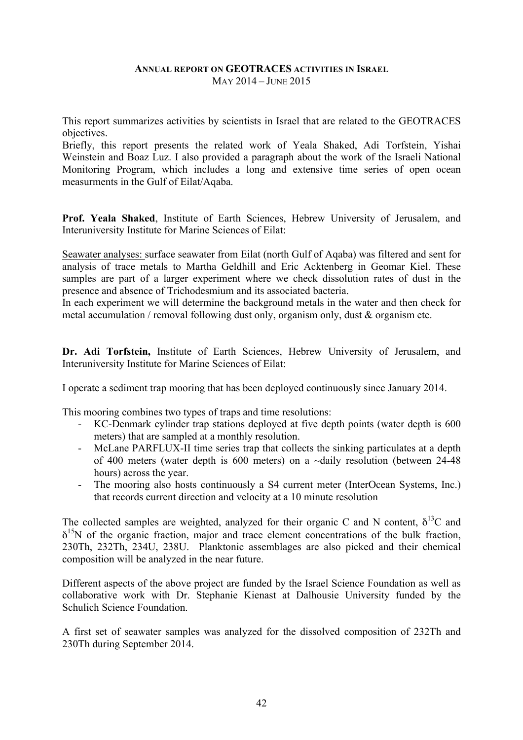## **ANNUAL REPORT ON GEOTRACES ACTIVITIES IN ISRAEL** MAY 2014 – JUNE 2015

This report summarizes activities by scientists in Israel that are related to the GEOTRACES objectives.

Briefly, this report presents the related work of Yeala Shaked, Adi Torfstein, Yishai Weinstein and Boaz Luz. I also provided a paragraph about the work of the Israeli National Monitoring Program, which includes a long and extensive time series of open ocean measurments in the Gulf of Eilat/Aqaba.

**Prof. Yeala Shaked**, Institute of Earth Sciences, Hebrew University of Jerusalem, and Interuniversity Institute for Marine Sciences of Eilat:

Seawater analyses: surface seawater from Eilat (north Gulf of Aqaba) was filtered and sent for analysis of trace metals to Martha Geldhill and Eric Acktenberg in Geomar Kiel. These samples are part of a larger experiment where we check dissolution rates of dust in the presence and absence of Trichodesmium and its associated bacteria.

In each experiment we will determine the background metals in the water and then check for metal accumulation / removal following dust only, organism only, dust  $\&$  organism etc.

**Dr. Adi Torfstein,** Institute of Earth Sciences, Hebrew University of Jerusalem, and Interuniversity Institute for Marine Sciences of Eilat:

I operate a sediment trap mooring that has been deployed continuously since January 2014.

This mooring combines two types of traps and time resolutions:

- KC-Denmark cylinder trap stations deployed at five depth points (water depth is 600 meters) that are sampled at a monthly resolution.
- McLane PARFLUX-II time series trap that collects the sinking particulates at a depth of 400 meters (water depth is 600 meters) on a ~daily resolution (between 24-48 hours) across the year.
- The mooring also hosts continuously a S4 current meter (InterOcean Systems, Inc.) that records current direction and velocity at a 10 minute resolution

The collected samples are weighted, analyzed for their organic C and N content,  $\delta^{13}$ C and  $\delta^{15}$ N of the organic fraction, major and trace element concentrations of the bulk fraction, 230Th, 232Th, 234U, 238U. Planktonic assemblages are also picked and their chemical composition will be analyzed in the near future.

Different aspects of the above project are funded by the Israel Science Foundation as well as collaborative work with Dr. Stephanie Kienast at Dalhousie University funded by the Schulich Science Foundation.

A first set of seawater samples was analyzed for the dissolved composition of 232Th and 230Th during September 2014.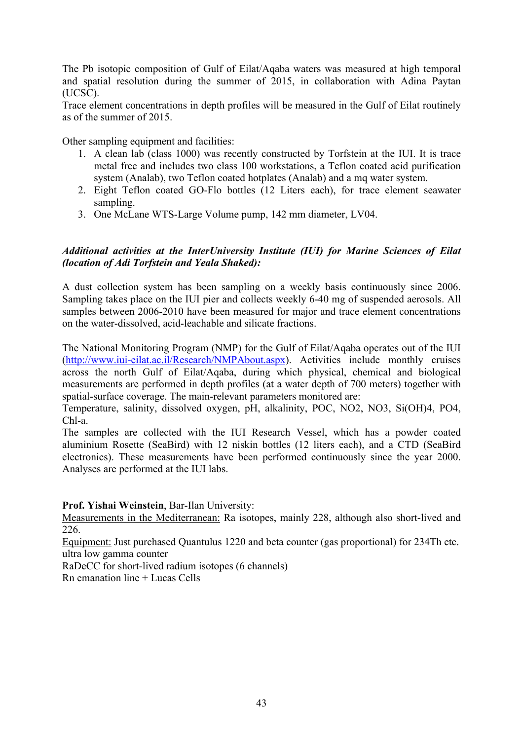The Pb isotopic composition of Gulf of Eilat/Aqaba waters was measured at high temporal and spatial resolution during the summer of 2015, in collaboration with Adina Paytan (UCSC).

Trace element concentrations in depth profiles will be measured in the Gulf of Eilat routinely as of the summer of 2015.

Other sampling equipment and facilities:

- 1. A clean lab (class 1000) was recently constructed by Torfstein at the IUI. It is trace metal free and includes two class 100 workstations, a Teflon coated acid purification system (Analab), two Teflon coated hotplates (Analab) and a mq water system.
- 2. Eight Teflon coated GO-Flo bottles (12 Liters each), for trace element seawater sampling.
- 3. One McLane WTS-Large Volume pump, 142 mm diameter, LV04.

## *Additional activities at the InterUniversity Institute (IUI) for Marine Sciences of Eilat (location of Adi Torfstein and Yeala Shaked):*

A dust collection system has been sampling on a weekly basis continuously since 2006. Sampling takes place on the IUI pier and collects weekly 6-40 mg of suspended aerosols. All samples between 2006-2010 have been measured for major and trace element concentrations on the water-dissolved, acid-leachable and silicate fractions.

The National Monitoring Program (NMP) for the Gulf of Eilat/Aqaba operates out of the IUI (http://www.iui-eilat.ac.il/Research/NMPAbout.aspx). Activities include monthly cruises across the north Gulf of Eilat/Aqaba, during which physical, chemical and biological measurements are performed in depth profiles (at a water depth of 700 meters) together with spatial-surface coverage. The main-relevant parameters monitored are:

Temperature, salinity, dissolved oxygen, pH, alkalinity, POC, NO2, NO3, Si(OH)4, PO4, Chl-a.

The samples are collected with the IUI Research Vessel, which has a powder coated aluminium Rosette (SeaBird) with 12 niskin bottles (12 liters each), and a CTD (SeaBird electronics). These measurements have been performed continuously since the year 2000. Analyses are performed at the IUI labs.

## **Prof. Yishai Weinstein**, Bar-Ilan University:

Measurements in the Mediterranean: Ra isotopes, mainly 228, although also short-lived and 226.

Equipment: Just purchased Quantulus 1220 and beta counter (gas proportional) for 234Th etc. ultra low gamma counter

RaDeCC for short-lived radium isotopes (6 channels)

Rn emanation line + Lucas Cells